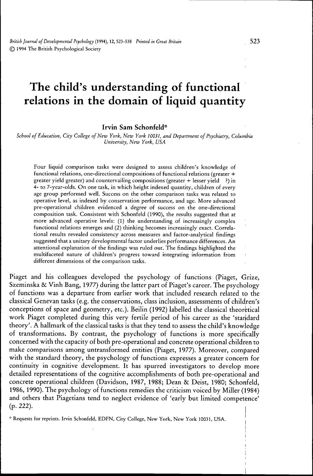# **The child's understanding of functional relations in the domain of liquid quantity**

#### **Irvin Sam Schonfeld\***

*School of Education, City College of New York, New York 10031, and Department of Psychiatry, Colurribia University, New York, USA*

Four liquid comparison tasks were designed to assess children's knowledge of functional relations, one-directional compositions of functional relations (greater *+* greater yield greater) and countervailing compositions (greater + lesser yield ?) in 4- to 7-year-olds. On one task, in which height indexed quantity, children of every age group performed well. Success on the other comparison tasks was related to operative level, as mdexed by conservation performance, and age. More advanced pre-operational children evidenced a degree of success on the one-directional composition task. Consistent with Schonfeld (1990), the results suggested that at more advanced operative levels: (1) the understanding of increasingly complex functional relations emerges and (2) thinking becomes increasingly exact. Correlational results revealed consistency across measures and factor-analytical findings suggested that a unitary developmental factor underlies performance differences. An attentional explanation of the findings was ruled out. The findings highhghted the multifaceted nature of children's progress toward integrating information from different dimensions of the comparison tasks.

Piaget and his colleagues developed the psychology of functions (Piaget, Grize, Szeminska & Vinh Bang, 1977) during the latter part of Piaget's career. The psychology of functions was a departure from earlier work that included research related to the classical Genevan tasks (e.g. the conservations, class inclusion, assessments of children's conceptions of space and geometry, etc.). Beilin (1992) labelled the classical theoretical work Piaget completed during this very fertile period of his career as the 'standard theory'. A hallmark of the classical tasks is that they tend to assess the child's knowledge of transformations. By contrast, the psychology of functions is more specifically concerned with the capacity of both pre-operational and concrete operational children to make comparisons among untransformed entities (Piaget, 1977). Moreover, compared with the standard theory, the psychology of functions expresses a greater concern for continuity in cognitive development. It has spurred investigators to develop more detailed representations of the cognitive accomplishments of both pre-operational and concrete operational children (Davidson, 1987, 1988; Dean & Deist, 1980; Schonfeld, 1986, 1990). The psychology of functions remedies the criticism voiced by Miller (1984) and others that Piagetians tend to neglect evidence of 'early but limited competence' (p. 222).

••• Requests for reprints. Irvin Schonfeld, EDFN, City College, New York, New York 10031, USA.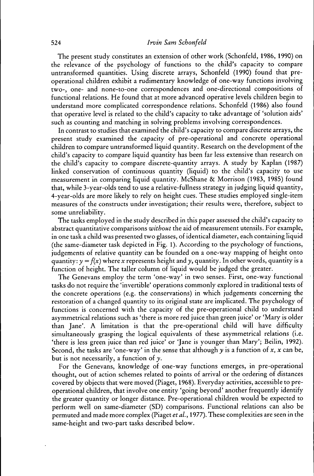# 524 *Irvin Sam Schonfeld*

The present study constitutes an extension of other work (Schonfeld, 1986, 1990) on the relevance of the psychology of functions to the child's capacity to compare untransformed quantities. Using discrete arrays, Schonfeld (1990) found that preoperational children exhibit a rudimentary knowledge of one-way functions involving two-, one- and none-to-one correspondences and one-directional compositions of functional relations. He found that at more advanced operative levels children begin to understand more complicated correspondence relations. Schonfeld (1986) also found that operative level is related to the child's capacity to take advantage of 'solution aids' such as counting and matching in solving problems involving correspondences.

In contrast to studies that examined the child's capacity to compare discrete arrays, the present study examined the capacity of pre-operational and concrete operational children to compare untransformed liquid quantity. Research on the development of the child's capacity to compare liquid quantity has been far less extensive than research on the child's capacity to compare discrete-quantity arrays. A study by Kaplan (1987) linked conservation of continuous quantity (liquid) to the child's capacity to use measurement in comparing liquid quantity. McShane & Morrison (1983, 1985) found that, while 3-year-olds tend to use a relative-fullness strategy in judging liquid quantity, 4-year-olds are more likely to rely on height cues. These studies employed single-item measures of the constructs under investigation; their results were, therefore, subject to some unreliability.

The tasks employed in the study described in this paper assessed the child's capacity to abstract quantitative comparisons *without* the aid of measurement utensils. For example, in one task a child was presented two glasses, of identical diameter, each containing liquid (the same-diameter task depicted in Fig. 1). According to the psychology of functions, judgements of relative quantity can be founded on a one-way mapping of height onto quantity:  $y = f(x)$  where x represents height and y, quantity. In other words, quantity is a function of height. The taller column of liquid would be judged the greater.

The Genevans employ the term 'one-way' in two senses. First, one-way functional tasks do not require the 'invertible' operations commonly explored in traditional tests of the concrete operations (e.g. the conservations) in which judgements concerning the restoration of a changed quantity to its original state are implicated. The psychology of functions is concerned with the capacity of the pre-operational child to understand asymmetrical relations such as 'there is more red juice than green juice' or 'Mary is older than Jane'. A limitation is that the pre-operational child will have difficulty simultaneously grasping the logical equivalents of these asymmetrical relations (i.e. 'there is less green juice than red juice' or 'Jane is younger than Mary'; Beilin, 1992). Second, the tasks are 'one-way' in the sense that although  $\gamma$  is a function of x, x can be, but is not necessarily, a function of *y.*

For the Genevans, knowledge of one-way functions emerges, in pre-operational thought, out of action schemes related to points of arrival or the ordering of distances covered by objects that were moved (Piaget, 1968). Everyday activities, accessible to preoperational children, that involve one entity 'going beyond' another frequently identify the greater quantity or longer distance. Pre-operational children would be expected to perform well on same-diameter (SD) comparisons. Functional relations can also be permuted and made more complex (Piaget *et al.,* 1977). These complexities are seen in the same-height and two-part tasks described below.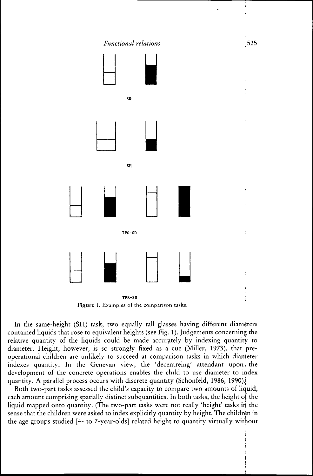

Figure 1. Examples of the comparison tasks.

In the same-height (SH) task, two equally tall glasses having different diameters contained liquids that rose to equivalent heights (see Fig. 1). Judgements concerning the relative quantity of the liquids could be made accurately by indexing quantity to diameter. Height, however, is so strongly fixed as a cue (Miller, 1973), that preoperational children are unlikely to succeed at comparison tasks in which diameter indexes quantity. In the Genevan view, the 'decentreing' attendant upon, the development of the concrete operations enables the child to use diameter to index quantity. A parallel process occurs with discrete quantity (Schonfeld, 1986, 1990).

Both two-part tasks assessed the child's capacity to compare two amounts of liquid, each amount comprising spatially distinct subquantities. In both tasks, the height of the liquid mapped onto quantity. (The two-part tasks were not really 'height' tasks in the sense that the children were asked to index explicitly quantity by height. The children in the age groups studied [4- to 7-year-olds] related height to quantity virtually without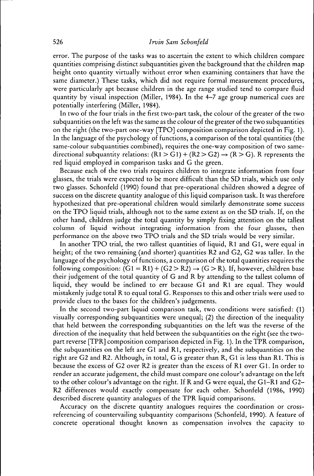error. The purpose of the tasks was to ascertain the extent to which children compare quantities comprising distinct subquantities given the background that the children map height onto quantity virtually without error when examining containers that have the same diameter.) These tasks, which did not require formal measurement procedures, were particularly apt because children in the age range studied tend to compare fluid quantity by visual inspection (Miller, 1984). In the 4-7 age group numerical cues are potentially interfering (Miller, 1984).

In two of the four trials in the first two-part task, the colour of the greater of the two subquantities on the left was the same as the colour of the greater of the two subquantities on the right (the two-part one-way [TPO] composition comparison depicted in Fig. 1). In the language of the psychology of functions, a comparison of the total quantities (the same-colour subquantities combined), requires the one-way composition of two samedirectional subquantity relations:  $(R1 > G1) + (R2 > G2) \rightarrow (R > G)$ . R represents the red liquid employed in comparison tasks and G the green.

Because each of the two trials requires children to integrate information from four glasses, the trials were expected to be more difficult than the SD trials, which use only two glasses. Schonfeld (1990) found that pre-operational children showed a degree of success on the discrete quantity analogue of this liquid comparison task. It was therefore hypothesized that pre-operational children would similarly demonstrate some success on the TPO liquid trials, although not to the same extent as on the SD trials. If, on the other hand, children judge the total quantity by simply fixing attention on the tallest column of liquid without integrating information from the four glasses, then performance on the above two TPO trials and the SD trials would be very similar.

In another TPO trial, the two tallest quantities of liquid, Rl and Gl, were equal in height; of the two remaining (and shorter) quantities R2 and G2, G2 was taller. In the language of the psychology of functions, a comparison of the total quantities requires the following composition:  $(G1 = R1) + (G2 > R2) \rightarrow (G > R)$ . If, however, children base their judgement of the total quantity of G and R by attending to the tallest column of liquid, they would be inclined to err because G1 and R1 are equal. They would mistakenly judge total R to equal total G. Responses to this and other trials were used to provide clues to the bases for the children's judgements.

In the second two-part liquid comparison task, two conditions were satisfied: (1) visually corresponding subquantities were unequal; (2) the direction of the inequality that held between the corresponding subquantities on the left was the reverse of the direction of the inequality that held between the subquantities on the right (see the twopart reverse [TPR] composition comparison depicted in Fig. 1). In the TPR comparison, the subquantities on the left are Gl and Rl, respectively, and the subquantities on the right are G2 and R2. Although, in total, G is greater than R, Gl is less than Rl. This is because the excess of G2 over R2 is greater than the excess of Rl over Gl. In order to render an accurate judgement, the child must compare one colour's advantage on the left to the other colour's advantage on the right. If R and G were equal, the Gl-Rl and G2- R2 differences would exactly compensate for each other. Schonfeld (1986, 1990) described discrete quantity analogues of the TPR liquid comparisons.

Accuracy on the discrete quantity analogues requires the coordination or crossreferencing of countervailing subquantity comparisons (Schonfeld, 1990). A feature of concrete operational thought known as compensation involves the capacity to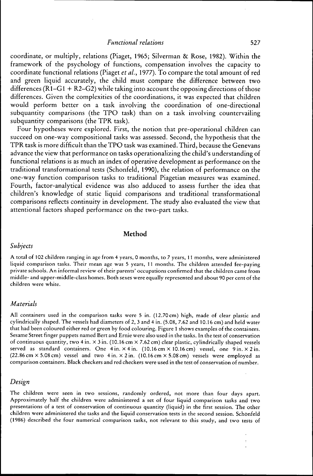coordinate, or multiply, relations (Piaget, 1965; Silverman & Rose, 1982). Within the framework of the psychology of functions, compensation involves the capacity to coordinate functional relations (Piaget *et al.,* 1977). To compare the total amount of red and green liquid accurately, the child must compare the difference between two differences ( $R\hat{1}-G1+R\hat{2}-G2$ ) while taking into account the opposing directions of those differences. Given the complexities of the coordinations, it was expected that children would perform better on a task involving the coordination of one-directional subquantity comparisons (the TPO task) than on a task involving countervailing subquantity comparisons (the TPR task).

Four hypotheses were explored. First, the notion that pre-operational children can succeed on one-way compositional tasks was assessed. Second, the hypothesis that the TPR task is more difficult than the TPO task was examined. Third, because the Genevans advance the view that performance on tasks operationalizing the child's understanding of functional relations is as much an index of operative development as performance on the traditional transformational tests (Schonfeld, 1990), the relation of performance on the one-way function comparison tasks to traditional Piagetian measures was examined. Fourth, factor-analytical evidence was also adduced to assess further the idea that children's knowledge of static liquid comparisons and traditional transformational comparisons reflects continuity in development. The study also evaluated the view that attentional factors shaped performance on the two-part tasks.

## Method

# *Subjects*

A total of 102 children ranging in age from 4 years, 0 months, to 7 years, 11 months, were administered liquid comparison tasks. Their mean age was 5 years, 11 months. The children attended fee-paying private schools. An informal review of their parents' occupations confirmed that the children came from middle- and upper-middle-class homes. Both sexes were equally represented and about 90 per cent of the children were white.

## *Materials*

All containers used in the comparison tasks were 5 in. (12.70 cm) high, made of clear plastic and cylindrically shaped. The vessels had diameters of 2, 3 and 4 in. (5.08, 7.62 and 10.16 cm) and held water that had been coloured either red or green by food colouring. Figure 1 shows examples of the containers. Sesame Street finger puppets named Bert and Ernie were also used in the tasks. In the test of conservation of continuous quantity, two 4 in.  $\times$  3 in. (10.16 cm  $\times$  7.62 cm) clear plastic, cylindrically shaped vessels served as standard containers. One 4 in.  $\times$  4 in.  $(10.16 \text{ cm} \times 10.16 \text{ cm})$  vessel, one 9 in.  $\times$  2 in.  $(22.86 \text{ cm} \times 5.08 \text{ cm})$  vessel and two 4 in.  $\times$  2 in.  $(10.16 \text{ cm} \times 5.08 \text{ cm})$  vessels were employed as comparison containers. Black checkers and red checkers were used in the test of conservation of number.

## *Design*

The children were seen in two sessions, randomly ordered, not more than four days apart. Approximately half the children were administered a set of four liquid comparison tasks and two presentations of a test of conservation of continuous quantity (liquid) in the first session. The other children were administered the tasks and the liquid conservation tests in the second session. Schonfeld (1986) described the four numerical comparison tasks, not relevant to this study, and two tests of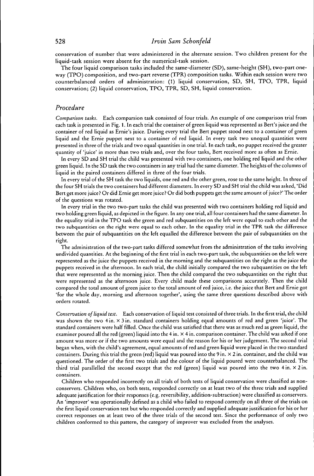# 528 *Irvin Sam Schonfeld*

conservation of number that were administered in the alternate session. Two children present for the liquid-task session were absent for the numerical-task session.

The four liquid comparison tasks included the same-diameter (SD), same-height (SH), two-part oneway (TPO) composition, and two-part reverse (TPR) composition tasks. Within each session were two counterbalanced orders of administration: (1) liquid conservation, SD, SH, TPO, TPR, liquid conservation; (2) liquid conservation, TPO, TPR, SD, SH, liquid conservation.

## *Procedure*

*Comparison tasks.* Each comparsion task consisted of four trials. An example of one comparison trial from each task is presented in Fig. 1. In each trial the container of green liquid was represented as Bert's juice and the container of red liquid as Ernie's juice. During every trial the Bert puppet stood next to a container of green liquid and the Ernie puppet next to a container of red liquid. In every task two unequal quantities were presented in three of the trials and two equal quantities in one trial. In each task, no puppet received the greater quantity of 'juice' in more than two trials and, over the four tasks, Bert received more as often as Ernie.

In every SD and SH trial the child was presented with two containers, one holding red liquid and the other green liquid. In the SD task the two containers in any trial had the same diameter. The heights of the columns of liquid in the paired containers differed in three of the four trials.

In every trial of the SH task the two liquids, one red and the other green, rose to the same height. In three of the four SH trials the two containers had different diameters. In every SD and SH trial the child was asked, 'Did Bert get more juice? Or did Ernie get more juice? Or did both puppets get the same amount of juice?' The order of the questions was rotated.

In every trial in the two two-part tasks the child was presented with two containers holding red liquid and two holding green liquid, as depicted in the figure. In any one trial, all four containers had the same diameter. In the equality trial in the TPO task the green and red subquantities on the left were equal to each other and the two subquantities on the right were equal to each other. In the equality trial in the TPR task the difference between the pair of subquantities on the left equalled the difference between the pair of subquantities on the right.

The administration of the two-part tasks differed somewhat from the administration of the tasks involving undivided quantities. At the beginning of the first trial in each two-part task, the subquantities on the left were represented as the juice the puppets received in the morning and the subquantities on the right as the juice the puppets received in the afternoon. In each trial, the child initially compared the two subquantities on the left that were represented as the morning juice. Then the child compared the two subquantities on the right that were represented as the afternoon juice. Every child made these comparisons accurately. Then the child compared the total amount of green juice to the total amount of red juice, i.e. the juice that Bert and Ernie got 'for the whole day, morning and afternoon together', using the same three questions described above with orders rotated.

*Conservation of liquid test.* Each conservation of liquid test consisted of three trials. In the first trial, the child was shown the two 4 in. × 3 in. standard containers holding equal amounts of red and green 'juice'. The standard containers were half filled. Once the child was satisfied that there was as much red as green liquid, the examiner poured all the red (green) liquid into the 4 in. X 4 in. comparison container. The child was asked if one amount was more or if the two amounts were equal and the reason for his or her judgement. The second trial began when, with the child's agreement, equal amounts of red and green liquid were placed in the two standard containers. During this trial the green (red) liquid was poured into the 9 in.  $\times$  2 in. container, and the child was questioned. The order of the first two trials and the colour of the liquid poured were counterbalanced. The third trial parallelled the second except that the red (green) liquid was poured into the two  $4 \text{ in.} \times 2 \text{ in.}$ containers.

Children who responded incorrectly on all trials of both tests of liquid conservation were classified as nonconservers. Children who, on both tests, responded correctly on at least two of the three trials and supplied adequate justification for their responses (e.g. reversibility, addition-subtraction) were classified as conservers. An 'improver' was operationally defined as a child who failed to respond correctly on all three of the trials on the first liquid conservation test but who responded correctly and supplied adequate justification for his or her correct responses on at least two of the three trials of the second test. Since the performance of only two children conformed to this pattern, the category of improver was excluded from the analyses.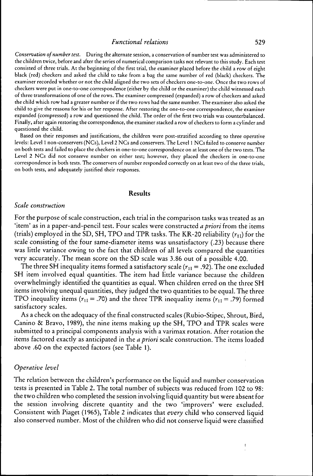*Conservation of number test.* During the alternate session, a conservation of number test was administered to the children twice, before and after the series of numerical comparison tasks not relevant to this study. Each test consisted of three trials. At the beginning of the first trial, the examiner placed before the child a row of eight black (red) checkers and asked the child to take from a bag the same number of red (black) checkers. The examiner recorded whether or not the child aligned the two sets of checkers one-to-one. Once the two rows of checkers were put in one-to-one correspondence (either by the child or the examiner) the child witnessed each of three transformations of one of the rows. The examiner compressed (expanded) a row of checkers and asked the child which row had a greater number or if the two rows had the same number. The examiner also asked the child to give the reasons for his or her response. After restoring the one-to-one correspondence, the examiner expanded (compressed) a row and questioned the child. The order of the first two trials was counterbalanced. Finally, after agam restoring the correspondence, the examiner stacked a row of checkers to form a cylinder and questioned the child.

Based on their responses and justifications, the children were post-stratified according to three operative levels: Level 1 non.-conservers (NCs), Level 2 NCs and conservers. The Level 1 NCs failed to conserve number on both tests and failed to place the checkers in one-to-one correspondence on at least one of the two tests. The Level 2 NCs did not conserve number on either test; however, they placed the checkers in one-to-one correspondence in both tests. The conservers of number responded correctly on at least two of the three trials, on both tests, and adequately justified their responses.

## **Results**

#### *Scale construction*

For the purpose of scale construction, each trial in the comparison tasks was treated as an 'item' as in a paper-and-pencil test. Four scales were constructed *a priori* from the items (trials) employed in the SD, SH, TPO and TPR tasks. The KR-20 reliability  $(r_{11})$  for the scale consisting of the four same-diameter items was unsatisfactory (.23) because there was little variance owing to the fact that children of all levels compared the quantities very accurately. The mean score on the SD scale was 3.86 out of a possible 4.00.

The three SH inequality items formed a satisfactory scale ( $r_{11} = .92$ ). The one excluded SH item involved equal quantities. The item had little variance because the children overwhelmingly identified the quantities as equal. When children erred on the three SH items involving unequal quantities, they judged the two quantities to be equal. The three TPO inequality items ( $r_{11}$  = .70) and the three TPR inequality items ( $r_{11}$  = .79) formed satisfactory scales.

As a check on the adequacy of the final constructed scales (Rubio-Stipec, Shrout, Bird, Canino & Bravo, 1989), the nine items making up the SH, TPO and TPR scales were submitted to a principal components analysis with a varimax rotation. After rotation the items factored exactly as anticipated in the *a priori* scale construction. The items loaded above .60 on the expected factors (see Table 1).

#### *Operative level*

The relation between the children's performance on the liquid and number conservation tests is presented in Table 2. The total number of subjects was reduced from 102 to 98: the two children who completed the session involving liquid quantity but were absent for the session involving discrete quantity and the two 'improvers' were excluded. Consistent with Piaget (1965), Table 2 indicates that *every* child who conserved liquid also conserved number. Most of the children who did not conserve liquid were classified

 $\mathbf{f}$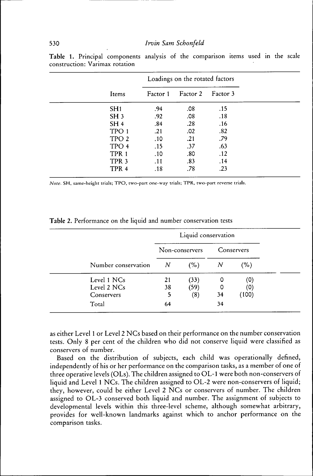|                  |          | Loadings on the rotated factors |          |  |
|------------------|----------|---------------------------------|----------|--|
| Items            | Factor 1 | Factor 2                        | Factor 3 |  |
| SH1              | .94      | .08                             | .15      |  |
| SH <sub>3</sub>  | .92      | .08                             | .18      |  |
| SH <sub>4</sub>  | .84      | .28                             | .16      |  |
| TPO 1            | .21      | .02                             | .82      |  |
| TPO <sub>2</sub> | .10      | .21                             | .79      |  |
| TPO 4            | .15      | .37                             | .63      |  |
| TPR <sub>1</sub> | .10      | .80                             | .12      |  |
| TPR <sub>3</sub> | .11      | .83                             | .14      |  |
| TPR <sub>4</sub> | .18      | .78                             | .23      |  |

**Table 1.** Principal components analysis of the comparison items used in the scale construction: Varimax rotation

*Note.* SH. same-height trials; TPO, two-part one-way trials; TPR, two-part reverse trials

|                     | Liquid conservation |                |    |            |  |
|---------------------|---------------------|----------------|----|------------|--|
|                     |                     | Non-conservers |    | Conservers |  |
| Number conservation | N                   | (%)            | N  | $( \% )$   |  |
| Level 1 NCs         | 21                  | (33)           |    | (0)        |  |
| Level 2 NCs         | 38                  | (59)           | 0  | (0)        |  |
| Conservers          | 5                   | (8)            | 34 | (100)      |  |
| Total               | 64                  |                | 34 |            |  |

**Table 2.** Performance on the liquid and number conservation tests

as either Level 1 or Level 2 NCs based on their performance on the number conservation tests. Only 8 per cent of the children who did not conserve liquid were classified as conservers of number.

Based on the distribution of subjects, each child was operationally defined, independently of his or her performance on the comparison tasks, as a member of one of three operative levels (OLs). The children assigned to OL-1 were both non-conservers of liquid and Level 1 NCs. The children assigned to OL-2 were non-conservers of liquid; they, however, could be either Level 2 NCs or conservers of number. The children assigned to OL-3 conserved both liquid and number. The assignment of subjects to developmental levels within this three-level scheme, although somewhat arbitrary, provides for well-known landmarks against which to anchor performance on the comparison tasks.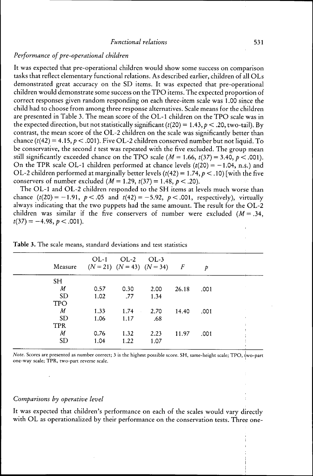# *Performance of pre-operational children*

It was expected that pre-operational children would show some success on comparison tasks that reflect elementary functional relations. As described earlier, children of all OLs demonstrated great accuracy on the SD items. It was expected that pre-operational children would demonstrate some success on the TPO items. The expected proportion of correct responses given random responding on each three-item scale was 1.00 since the child had to choose from among three response alternatives. Scale means for the children are presented in Table 3. The mean score of the OL-1 children on the TPO scale was in the expected direction, but not statistically significant ( $t(20) = 1.43$ ,  $p < .20$ , two-tail). By contrast, the mean score of the OL-2 children on the scale was significantly better than chance ( $t(42) = 4.15, p < .001$ ). Five OL-2 children conserved number but not liquid. To be conservative, the second *t* test was repeated with the five excluded. The group mean still significantly exceeded chance on the TPO scale  $(M = 1.66, t(37) = 3.40, p < 0.001)$ . On the TPR scale OL-1 children performed at chance levels  $(t/20) = -1.04$ , n.s.) and OL-2 children performed at marginally better levels  $(t(42) = 1.74, p < .10)$  [with the five conservers of number excluded  $(M = 1.29, t(37) = 1.48, p < .20)$ .

The OL-1 and OL-2 children responded to the SH items at levels much worse than chance  $(t(20) = -1.91, p < .05$  and  $t(42) = -5.92, p < .001$ , respectively), virtually always indicating that the two puppets had the same amount. The result for the OL-2 children was similar if the five conservers of number were excluded  $(M = .34, )$  $t(37)=-4.98, p < .001$ ).

| Measure                    | $OL-1$ | $OL-2$         | OL-3<br>$(N = 21)$ $(N = 43)$ $(N = 34)$ | $\overline{F}$ | p    |           |
|----------------------------|--------|----------------|------------------------------------------|----------------|------|-----------|
| SH.                        |        |                |                                          |                |      |           |
| М                          | 0.57   | 0.30           | 2.00                                     | 26.18          | .001 |           |
| <b>SD</b>                  | 1.02   | .77            | 1.34                                     |                |      |           |
| <b>TPO</b>                 |        |                |                                          |                |      |           |
| $\boldsymbol{\mathcal{M}}$ | 1.33   | 1.74<br>$\sim$ | 2.70                                     | 14.40          | .001 |           |
| <b>SD</b>                  | 1.06   | 1.17           | .68                                      |                |      | $\lambda$ |
| <b>TPR</b>                 |        |                |                                          |                |      | ÷         |
| M                          | 0.76   | 1.32           | 2.23                                     | 11.97          | .001 |           |
| SD                         | 1.04   | 1.22           | 1.07                                     |                |      |           |
|                            |        |                |                                          |                |      |           |

Table 3. The scale means, standard deviations and test statistics

*Note.* Scores are presented as number correct; 3 is the highest possible score. SH, same-height scale; TPO, two-part one-way scale; TPR, two-part reverse scale.

## *Comparisons by operative level*

It was expected that children's performance on each of the scales would vary directly with OL as operationalized by their performance on the conservation tests. Three one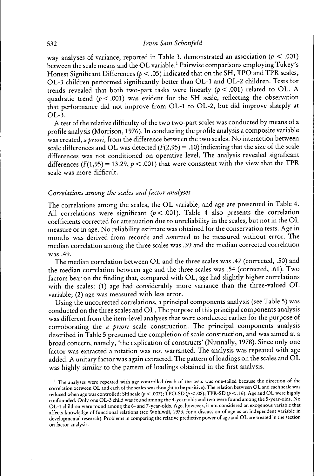way analyses of variance, reported in Table 3, demonstrated an association *(p <* .001) between the scale means and the OL variable.' Pairwise comparisons employing Tukey's Honest Significant Differences *(p <* .05) indicated that on the SH, TPO and TPR scales, OL-3 children performed significantly better than OL-1 and OL-2 children. Tests for trends revealed that both two-part tasks were linearly *(p < .001)* related to OL. A quadratic trend  $(p < .001)$  was evident for the SH scale, reflecting the observation that performance did not improve from OL-1 to OL-2, but did improve sharply at  $OL-3.$ 

A test of the relative difficulty of the two two-part scales was conducted by means of a profile analysis (Morrison, 1976). In conducting the profile analysis a composite variable was created, *a priori,* from the difference between the two scales. No interaction between scale differences and OL was detected  $(F(2,95) = .10)$  indicating that the size of the scale differences was not conditioned on operative level. The analysis revealed significant differences  $(F(1,95) = 13.29, p < .001)$  that were consistent with the view that the TPR scale was more difficult.

# *Correlations among the scales and factor analyses*

The correlations among the scales, the OL variable, and age are presented in Table 4. All correlations were significant *(p <* .001). Table 4 also presents the correlation coefficients corrected for attenuation due to unreliability in the scales, but not in the OL measure or in age. No reliability estimate was obtained for the conservation tests. Age in months was derived from records and assumed to be measured without error. The median correlation among the three scales was .39 and the median corrected correlation was .49.

The median correlation between OL and the three scales was .47 (corrected, .50) and the median correlation between age and the three scales was .54 (corrected, .61). Two factors bear on the finding that, compared with OL, age had slightly higher correlations with the scales: (1) age had considerably more variance than the three-valued OL variable; (2) age was measured with less error.

Using the uncorrected correlations, a principal components analysis (see Table 5) was conducted on the three scales and OL. The purpose of this principal components analysis was different from the item-level analyses that were conducted earlier for the purpose of corroborating the *a priori* scale construction. The principal components analysis described in Table 5 presumed the completion of scale construction, and was aimed at a broad concern, namely, 'the explication of constructs' (Nunnally, 1978). Since only one factor was extracted a rotation was not warranted. The analysis was repeated with age added. A unitary factor was again extracted. The pattern of loadings on the scales and OL was highly similar to the pattern of loadings obtained in the first analysis.

<sup>&</sup>lt;sup>1</sup> The analyses were repeated with age controlled (each of the tests was one-tailed because the direction of the correlation between OL and each of the scales was thought to be positive). The relation between OL and each scale was reduced when age was controlled: SH scale (p < .007); TPO-SD (p < .08); TPR-SD (p < .16). Age and OL were highly confounded. Only one OL-3 child was found among the 4-year-olds and two were found among the 5-year-olds. No OL-1 children were found among the 6- and 7-year-olds. Age, however, is not considered an exogenous variable that affects knowledge of functional relations (see Wohlwill, 1973, for a discussion of age as an independent variable in developmental research). Problems in comparing the relative predictive power of age and OL are treated in the section on factor analysis.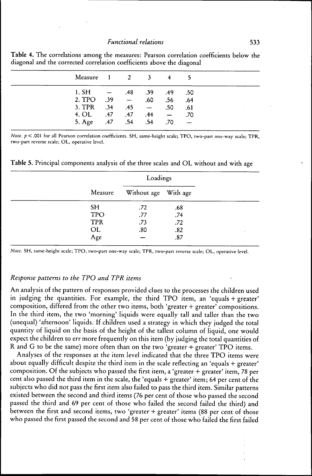| Measure 1 2 3 4 5                |  |     |  |
|----------------------------------|--|-----|--|
| $1.$ SH $ .48$ $.39$ $.49$ $.50$ |  |     |  |
| 2. TPO $.39 - .60$ $.56$ $.64$   |  |     |  |
| 3. TPR $.34$ $.45$ $ .50$        |  | .61 |  |
| 4. OL .47 .47 .44 - .70          |  |     |  |
| 5. Age .47 .54 .54 .70           |  |     |  |

**Table** 4. The correlations among the measures: Pearson correlation coefficients below the diagonal and the corrected correlation coefficients above the diagonal

*Note, p <* .001 for all Pearson correlation coefficients. SH, same-height scale; TPO, two-part one-way scale; TPR, two-part reverse scale; OL, operative level.

**Table 5.** Principal components analysis of the three scales and OL without and with age

| Measure    | Without age With age |     |  |
|------------|----------------------|-----|--|
| <b>SH</b>  | .72                  | .68 |  |
| <b>TPO</b> | .77                  | .74 |  |
| <b>TPR</b> | .73                  | .72 |  |
| OL         | .80                  | .82 |  |
| Age        |                      | .87 |  |

*Note.* SH, same-height scale; TPO, two-part one-way scale; TPR, two-part reverse scale; OL, operative level.

## *Response patterns to the TPO and TPR items*

An analysis of the pattern of responses provided clues to the processes the children used in judging the quantities. For example, the third TPO item, an 'equals + greater' composition, differed from the other two items, both 'greater + greater' compositions. In the third item, the two 'morning' liquids were equally tall and taller than the two (unequal) 'afternoon' liquids. If children used a strategy in which they judged the total quantity of liquid on the basis of the height of the tallest column of liquid, one would expect the children to err more frequently on this item (by judging the total quantities of R and G to be the same) more often than on the two 'greater + greater' TPO items.

Analyses of the responses at the item level indicated that the three TPO items were about equally difficult despite the third item in the scale reflecting an 'equals + greater' composition. Of the subjects who passed the first item, a 'greater + greater' item, 78 per cent also passed the third item in the scale, the 'equals + greater' item; 64 per cent of the subjects who did not pass the first item also failed to pass the third item. Similar patterns existed between the second and third items (76 per cent of those who passed the second passed the third and 69 per cent of those who failed the second failed the third) and between the first and second items, two 'greater + greater' items (88 per cent of those who passed the first passed the second and 58 per cent of those who failed the first failed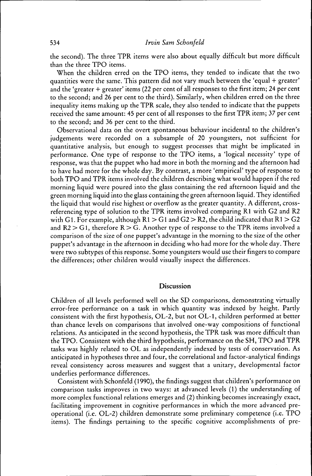the second). The three TPR items were also about equally difficult but more difficult than the three TPO items.

When the children erred on the TPO items, they tended to indicate that the two quantities were the same. This pattern did not vary much between the 'equal + greater' and the 'greater + greater' items (22 per cent of all responses to the first item; 24 per cent to the second; and 26 per cent to the third). Similarly, when children erred on the three inequality items making up the TPR scale, they also tended to indicate that the puppets received the same amount: 45 per cent of all responses to the first TPR item; 37 per cent to the second; and 36 per cent to the third.

Observational data on the overt spontaneous behaviour incidental to the children's judgements were recorded on a subsample of 20 youngsters, not sufficient for quantitative analysis, but enough to suggest processes that might be implicated in performance. One type of response to the TPO items, a 'logical necessity' type of response, was that the puppet who had more in both the morning and the afternoon had to have had more for the whole day. By contrast, a more 'empirical' type of response to both TPO and TPR items involved the children describing what would happen if the red morning liquid were poured into the glass containing the red afternoon liquid and the green morning liquid into the glass containing the green afternoon liquid. They identified the liquid that would rise highest or overflow as the greater quantity. A different, crossreferencing type of solution to the TPR items involved comparing Rl with G2 and R2 with G1. For example, although  $R1 > G1$  and  $G2 > R2$ , the child indicated that  $R1 > G2$ and  $R2 > G1$ , therefore  $R > G$ . Another type of response to the TPR items involved a comparison of the size of one puppet's advantage in the morning to the size of the other puppet's advantage in the afternoon in deciding who had more for the whole day. There were two subtypes of this response. Some youngsters would use their fingers to compare the differences; other children would visually inspect the differences.

# **Discussion**

Children of all levels performed well on the SD comparisons, demonstrating virtually error-free performance on a task in which quantity was indexed by height. Partly consistent with the first hypothesis, OL-2, but not OL-1, children performed at better than chance levels on comparisons that involved one-way compositions of functional relations. As anticipated in the second hypothesis, the TPR task was more difficult than the TPO. Consistent with the third hypothesis, performance on the SH, TPO and TPR tasks was highly related to OL as independently indexed by tests of conservation. As anticipated in hypotheses three and four, the correlational and factor-analytical findings reveal consistency across measures and suggest that a unitary, developmental factor underlies performance differences.

Consistent with Schonfeld (1990), the findings suggest that children's performance on comparison tasks improves in two ways: at advanced levels (1) the understanding of more complex functional relations emerges and (2) thinking becomes increasingly exact, facilitating improvement in cognitive performances in which the more advanced preoperational (i.e. OL-2) children demonstrate some preliminary competence (i.e. TPO items). The findings pertaining to the specific cognitive accomplishments of pre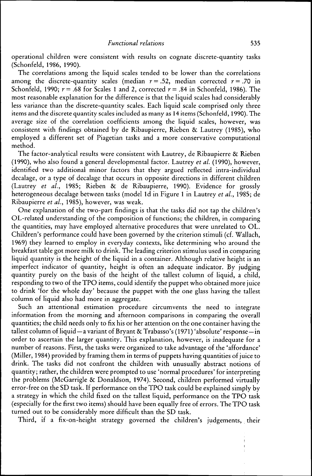operational children were consistent with results on cognate discrete-quantity tasks (Schonfeld, 1986, 1990).

The correlations among the liquid scales tended to be lower than the correlations among the discrete-quantity scales (median  $r = .52$ , median corrected  $r = .70$  in Schonfeld, 1990;  $r = .68$  for Scales 1 and 2, corrected  $r = .84$  in Schonfeld, 1986). The most reasonable explanation for the difference is that the liquid scales had considerably less variance than the discrete-quantity scales. Each liquid scale comprised only three items and the discrete quantity scales included as many as 14 items (Schonfeld, 1990). The average size of the correlation coefficients among the liquid scales, however, was consistent with findings obtained by de Ribaupierre, Rieben & Lautrey (1985), who employed a different set of Piagetian tasks and a more conservative computational method.

The factor-analytical results were consistent with Lautrey, de Ribaupierre & Rieben (1990), who also found a general developmental factor. Lautrey *et al.* (1990), however, identified two additional minor factors that they argued reflected intra-individual decalage, or a type of decalage that occurs in opposite directions in different children (Lautrey *et al.,* 1985; Rieben & de Ribaupierre, 1990). Evidence for grossly heterogeneous decalage between tasks (model Id in Figure 1 in Lautrey *et al.,* 1985; de Ribaupierre *et al.,* 1985), however, was weak.

One explanation of the two-part findings is that the tasks did not tap the children's OL-related understanding of the composition of functions; the children, in comparing the quantities, may have employed alternative procedures that were unrelated to OL. Children's performance could have been governed by the criterion stimuli (cf. Wallach, 1969) they learned to employ in everyday contexts, like determining who around the breakfast table got more milk to drink. The leading criterion stimulus used in comparing liquid quantity is the height of the liquid in a container. Although relative height is an imperfect indicator of quantity, height is often an adequate indicator. By judging quantity purely on the basis of the height of the tallest column of liquid, a child, responding to two of the TPO items, could identify the puppet who obtained more juice to drink 'for the whole day' because the puppet with the one glass having the tallest column of liquid also had more in aggregate.

Such an attentional estimation procedure circumvents the need to integrate information from the morning and afternoon comparisons in comparing the overall quantities; the child needs only to fix his or her attention on the one container having the tallest column of liquid—a variant of Bryant & Trabasso's (1971) 'absolute' response—in order to ascertam the larger quantity. This explanation, however, is inadequate for a number of reasons. First, the tasks were organized to take advantage of the 'affordance' (Miller, 1984) provided by framing them in terms of puppets having quantities of juice to drink. The tasks did not confront the children with unusually abstract notions of quantity; rather, the children were prompted to use 'normal procedures' for interpreting the problems (McGarrigle & Donaldson, 1974). Second, children performed virtually error-free on the SD task. If performance on the TPO task could be explained simply by a strategy in which the child fixed on the tallest liquid, performance on the TPO task (especially for the first two items) should have been equally free of errors. The TPO task turned out to be considerably more difficult than the SD task.

Third, if a fix-on-height strategy governed the children's judgements, their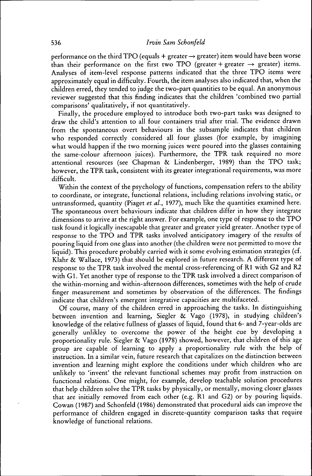performance on the third TPO (equals *+* greater *-^* greater) item would have been worse than their performance on the first two TPO (greater + greater  $\rightarrow$  greater) items. Analyses of item-level response patterns indicated that the three TPO items were approximately equal in difficulty. Fourth, the item analyses also indicated that, when the children erred, they tended to judge the two-part quantities to be equal. An anonymous reviewer suggested that this finding indicates that the children 'combined two partial comparisons' qualitatively, if not quantitatively.

Finally, the procedure employed to introduce both two-part tasks was designed to draw the child's attention to all four containers trial after trial. The evidence drawn from the spontaneous overt behaviours in the subsample indicates that children who responded correctly considered all four glasses (for example, by imagining what would happen if the two morning juices were poured into the glasses containing the same-colour afternoon juices). Furthermore, the TPR task required no more attentional resources (see Chapman & Lindenberger, 1989) than the TPO task; however, the TPR task, consistent with its greater integrational requirements, was more difficult.

Within the context of the psychology of functions, compensation refers to the ability to coordinate, or integrate, functional relations, including relations involving static, or untransformed, quantity (Piaget *et al.,* 1977), much like the quantities examined here. The spontaneous overt behaviours indicate that children differ in how they integrate dimensions to arrive at the right answer. For example, one type of response to the TPO task found it logically inescapable that greater and greater yield greater. Another type of response to the TPO and T'PR tasks involved anticipatory imagery of the results of pouring liquid from one glass into another (the children were not permitted to move the liquid). This procedure probably carried with it some evolving estimation strategies (cf. Klahr & Wallace, 1973) that should be explored in future research. A different type of response to the TPR task involved the mental cross-referencing of Rl with G2 and R2 with Gl. Yet another type of response to the TPR task involved a direct comparison of the within-morning and within-afternoon differences, sometimes with the help of crude finger measurement and sometimes by observation of the differences. The findings indicate that children's emergent integrative capacities are multifaceted.

Of course, many of the children erred in approaching the tasks. In distinguishing between invention and learning, Siegler *&c* Vago (1978), in studying children's knowledge of the relative fullness of glasses of liquid, found that 6- and 7-year-olds are generally unlikley to overcome the power of the height cue by developing a proportionality rule. Siegler & Vago (1978) showed, however, that children of this age group are capable of learning to apply a proportionality rule with the help of instruction. In a similar vein, future research that capitalizes on the distinction between invention and learning might explore the conditions under which children who are unlikely to 'invent' the relevant functional schemes may profit from instruction on functional relations. One might, for example, develop teachable solution procedures that help children solve the TPR tasks by physically, or mentally, moving closer glasses that are initially removed from each other (e.g. Rl and G2) or by pouring liquids. Cowan (1987) and Schonfeld (1986) demonstrated that procedural aids can improve the performance of children engaged in discrete-quantity comparison tasks that require knowledge of functional relations.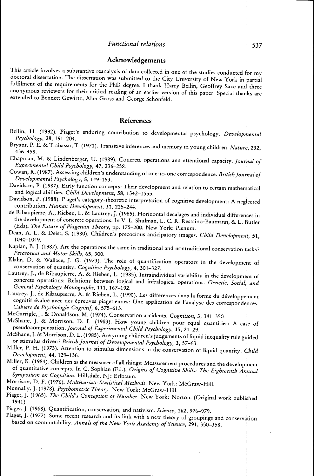#### Acknowledgements

This article involves a substantive reanalysis of data collected in one of the studies conducted for my doctoral dissertation. The dissertation was submitted to the City University of New York in partial fulfilment of the requirements for the PhD degree. I thank Harry Beilin, Geoffrey Saxe and three anonymous reviewers for their critical reading of an earlier version of this paper. Special thanks are extended to Bennett Gewirtz, Alan Gross and George Schonfeld.

# References

- Beilin, H. (1992). Piaget's enduring contribution to developmental psychology. *Developmental Psychology,* 28, 191-204. *'^*
- Bryant, P. E. & Trabasso, T. (1971). Transitive inferences and memory in young children. *Nature,* 232 456-458. ' '
- Chapman, M. & Lindenberger, U. (1989). Concrete operations and attentional capacity. *Journal of Experimental Child Psychology, 47,* 236-258. •
- Cowan, R. (1987). Assessing children's understanding of one-to-one correspondence. *British Journal of Developmental Psychology, 5,* 149-153.
- Davidson, P. (1987). Early function concepts: Their development and relation to certain mathematical and logical abilities. Child Development, 58, 1542-1555. and logical abilities. *Child Development,* 58, 1542-1555.
- $\mathcal{L}$  sources, P. (1988). Picture interpretation of cognitive development: A neglected contribution. *Human Development,* 31, 225-244.
- the development of concrete operations. In V. L. Shulman, L. C. R. Restaino-Baumann, & L. Butler (Eds), The Future of Piagetian Theory, pp. 175-200. New York: Plenum.
- <sup>ean,</sup> A. L. & Deist, S. (1980). Children's precocious anticipatory images Dean, A. L. & Deist, S. (1980). Children's precocious anticipatory images. *Child Development* 51
- Kaplan, B. J. (1987). Are the operations the same in traditional and nontraditional conservation tasks?<br>Perceptual and Motor Skills, 65, 300. Receptual and Motor Skills, 65, 300.
- ahr, D. & Wallace, J. G. (1973). 5  $K$  conservation of quantity. *Cognitive Psychology*, 4, 301–327.
- utrey, J., de Ribaupierre, A. & Rieben, L. (1985). Intraindiv concrete operations: Relations between logical and infralogical operations. Genetic, Social, and<br>General Psychology Monographs, 111, 167-192. concrete operations: Relations between logical and infralogical operations. *Genetic, Social, and*
- actery, J., ac Ribaupierre, A. & Rieben, L. (1990).<br>cognitif évolué evec des fausses de l cognitif évalué avec des épreuves piagetiennes: Une application de l'analyse des correspondences.<br>Cabiers de Psychologie Cognitif, 6, 575-613.
- McGarrigle, J. & Donaldson, M. (1974). Conservation accidents. Cognition, 3, 341-350.
- McShane, J. & Morrison, D. L. (1983). How young children pour equal quantities: A case of pseudocompensation. Journal of Experimental Child Psychology, 35, 21-29.
- McShane, J. & Morrison, D. L. (1985). Are young children's judgements of liquid inequality rule guided or stimulus driven? *British Journal of Developmental Psychology*, 3, 57-63.  $M$ iller, P. H. (1973). Artention, to chimulate inequality rule guideline,  $\frac{1}{2}$  and  $\frac{1}{2}$  rule guidelinear incomplex distribution to chimulate guidelinear in the children of liquid in the children of liquid in th
- or stimulus driven. The *Britanian Community dimensions* in the conservation of *Development* 44, 199–136. Development, 44, 129-136.<br>Miller, K. (1984). Children as the measurer of all things: Measurement procedures and the development
- of quantitative concepts. In C. Sophian (Ed.), Origins of Cognitive Skills: The Eighteenth Annual Symposium on Cognition. Hillsdale, NJ: Erlbaum.
- Morrison, D. F. (1976). *Multivariate Statistical Methods*. New York: McGraw-Hill.
- Nunnally, J. (1978). Psychometric Theory. New York: McGraw-Hill.
- Piaget, J. (1965). *The Child's Conception of Number*. New York: Norton, (Original Nunnally, J. (1978). *Psychometric Theory.* New York: McGraw-Hill.
- Piaget, J. (1968). Quantification, conservation, and nativism. Science, 162, 976-979.
- Piaget, J. (1977). Some recent research and its link with a new theory of groupings and conservation based on commutability. Annals of the New York Academy of Science, 291, 350-358. based on commutability. *Annals of the New York Academy of Science,* 291, 350-358; *\*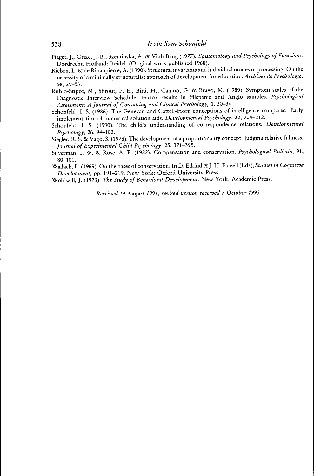- Piaget, J., Grize, J.-B., Szeminska, A. & Vinh Bang (1977). *Epistemology and Psychology of Functions,* Dordrecht, Holland: Reidel. (Original work published 1968).
- Rieben, L. & de Ribaupierre, A. (1990). Structural invariants and individual modes of processing: On the necessity of a minimally structuralist approach of development for education. *Archives de Psychologie,* 58, 29-53.
- Rubio-Stipec, M., Shrout, P. E., Bird, H., Canino, G. & Bravo, M. (1989). Symptom scales of the Diagnostic Interview Schedule: Factor results in Hispanic and Anglo samples. *Psychological Assessment: A fournal of Consulting and Clinical Psychology,* 1, 30-34.
- Schonfeld, I. S. (1986). The Genevan and Cattell-Horn conceptions of intelligence compared: Early implementation of numerical solution aids. *Developmental Psychology,* 22, 204-212.
- Schonfeld, I. S. (1990). The child's understanding of correspondence relations. *Developmental Psychology,* 26, 94-102.
- Siegler, R. S. & Vago, S. (1978). The development of a proportionality concept: Judging relative fullness. *fournal of Experimental Child Psychology,* 25, 371-395.
- Silverman, I. W. & Rose, A. P. (1982). Compensation and conservation. *Psychological Bulletin,* 91,  $80 - 101.$
- Wallach, L. (1969). On the bases of conservation. In D. Elkind & J. H. Flavell (Eds), *Studies in Cognitive Development,* pp. 191-219. New York: Oxford University Press.

Wohlwill, J. (1973). *The Study of Behavioral Development.* New York: Academic Press.

*Received 14 August 1991; revised version received 7 October 1993*